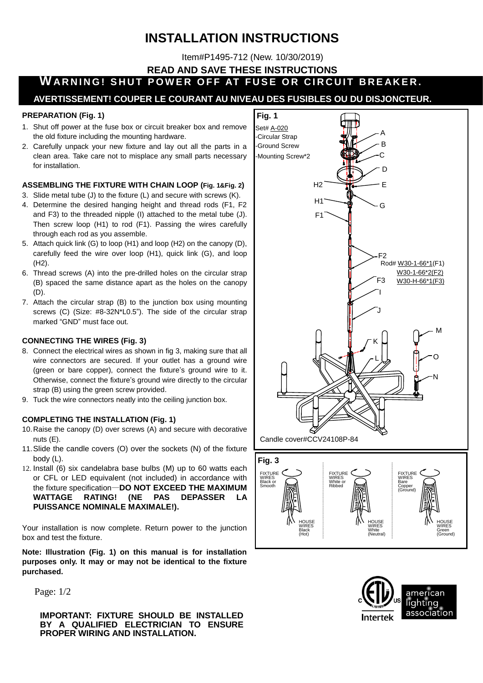# **INSTALLATION INSTRUCTIONS**

Item#P1495-712 (New. 10/30/2019)

**READ AND SAVE THESE INSTRUCTIONS**

**WARNING! SHUT POWER OFF AT FUSE OR CIRCUIT BREAKER.** 

### **AVERTISSEMENT! COUPER LE COURANT AU NIVEAU DES FUSIBLES OU DU DISJONCTEUR.**

#### **PREPARATION (Fig. 1)**

- 1. Shut off power at the fuse box or circuit breaker box and remove the old fixture including the mounting hardware.
- 2. Carefully unpack your new fixture and lay out all the parts in a clean area. Take care not to misplace any small parts necessary for installation.

#### **ASSEMBLING THE FIXTURE WITH CHAIN LOOP (Fig. 1&Fig. 2)**

- 3. Slide metal tube (J) to the fixture (L) and secure with screws (K).
- 4. Determine the desired hanging height and thread rods (F1, F2 and F3) to the threaded nipple (I) attached to the metal tube (J). Then screw loop (H1) to rod (F1). Passing the wires carefully through each rod as you assemble.
- 5. Attach quick link (G) to loop (H1) and loop (H2) on the canopy (D), carefully feed the wire over loop (H1), quick link (G), and loop (H2).
- 6. Thread screws (A) into the pre-drilled holes on the circular strap (B) spaced the same distance apart as the holes on the canopy (D).
- 7. Attach the circular strap (B) to the junction box using mounting screws (C) (Size: #8-32N\*L0.5"). The side of the circular strap marked "GND" must face out.

#### **CONNECTING THE WIRES (Fig. 3)**

- 8. Connect the electrical wires as shown in fig 3, making sure that all wire connectors are secured. If your outlet has a ground wire (green or bare copper), connect the fixture's ground wire to it. Otherwise, connect the fixture's ground wire directly to the circular strap (B) using the green screw provided.
- 9. Tuck the wire connectors neatly into the ceiling junction box.

#### **COMPLETING THE INSTALLATION (Fig. 1)**

- 10.Raise the canopy (D) over screws (A) and secure with decorative nuts (E).
- 11.Slide the candle covers (O) over the sockets (N) of the fixture body (L).
- 12. Install (6) six candelabra base bulbs (M) up to 60 watts each or CFL or LED equivalent (not included) in accordance with the fixture specification—**DO NOT EXCEED THE MAXIMUM WATTAGE RATING! (NE PAS DEPASSER LA PUISSANCE NOMINALE MAXIMALE!).**

Your installation is now complete. Return power to the junction box and test the fixture.

**Note: Illustration (Fig. 1) on this manual is for installation purposes only. It may or may not be identical to the fixture purchased.**

Page: 1/2

**IMPORTANT: FIXTURE SHOULD BE INSTALLED BY A QUALIFIED ELECTRICIAN TO ENSURE PROPER WIRING AND INSTALLATION.** 



**HOUSE** WIRES Black (Hot)



HOUSE WIRES **Green** (Ground)

**HOUSE** WIRES **White** (Neutral)